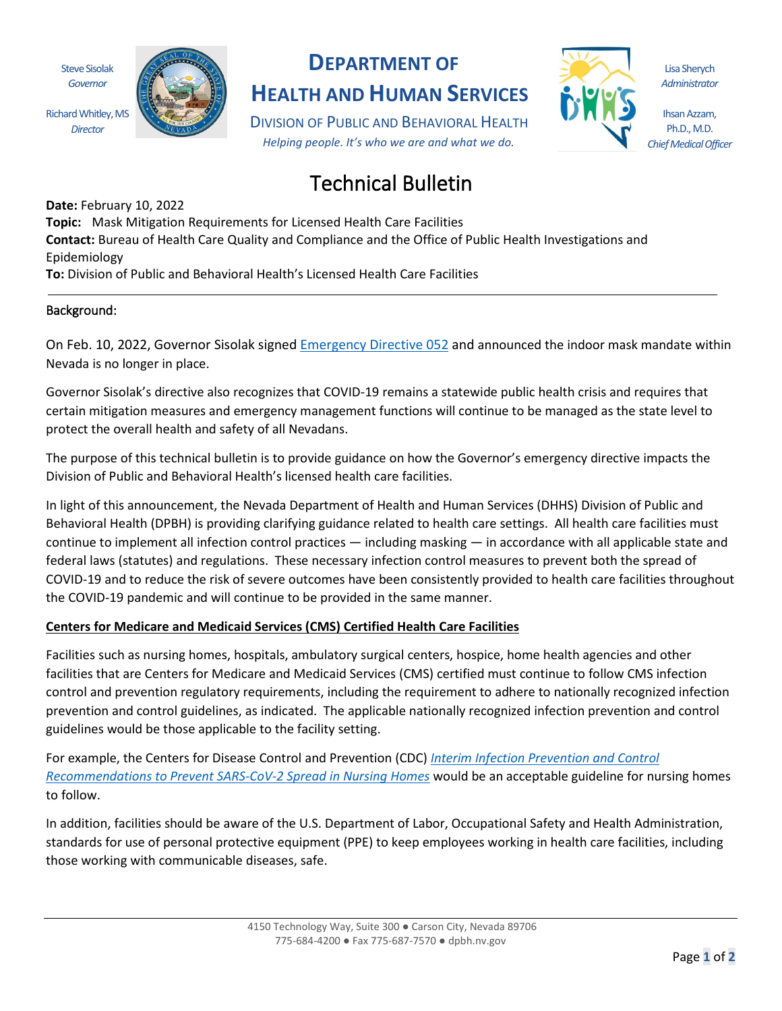Steve Sisolak *Governor*

Richard Whitley, MS *Director*



# **DEPARTMENT OF**

**HEALTH AND HUMAN SERVICES**

DIVISION OF PUBLIC AND BEHAVIORAL HEALTH *Helping people. It's who we are and what we do.*



Lisa Sherych *Administrator*

Ihsan Azzam, Ph.D., M.D. *Chief Medical Officer*

# Technical Bulletin

**Date:** February 10, 2022 **Topic:** Mask Mitigation Requirements for Licensed Health Care Facilities **Contact:** Bureau of Health Care Quality and Compliance and the Office of Public Health Investigations and Epidemiology **To:** Division of Public and Behavioral Health's Licensed Health Care Facilities

# Background:

On Feb. 10, 2022, Governor Sisolak signed [Emergency Directive 052](https://nvhealthresponse.nv.gov/wp-content/uploads/2022/02/2.10.22-Emergency-Directive-052.pdf) and announced the indoor mask mandate within Nevada is no longer in place.

Governor Sisolak's directive also recognizes that COVID-19 remains a statewide public health crisis and requires that certain mitigation measures and emergency management functions will continue to be managed as the state level to protect the overall health and safety of all Nevadans.

The purpose of this technical bulletin is to provide guidance on how the Governor's emergency directive impacts the Division of Public and Behavioral Health's licensed health care facilities.

In light of this announcement, the Nevada Department of Health and Human Services (DHHS) Division of Public and Behavioral Health (DPBH) is providing clarifying guidance related to health care settings. All health care facilities must continue to implement all infection control practices — including masking — in accordance with all applicable state and federal laws (statutes) and regulations. These necessary infection control measures to prevent both the spread of COVID-19 and to reduce the risk of severe outcomes have been consistently provided to health care facilities throughout the COVID-19 pandemic and will continue to be provided in the same manner.

# **Centers for Medicare and Medicaid Services (CMS) Certified Health Care Facilities**

Facilities such as nursing homes, hospitals, ambulatory surgical centers, hospice, home health agencies and other facilities that are Centers for Medicare and Medicaid Services (CMS) certified must continue to follow CMS infection control and prevention regulatory requirements, including the requirement to adhere to nationally recognized infection prevention and control guidelines, as indicated. The applicable nationally recognized infection prevention and control guidelines would be those applicable to the facility setting.

For example, the Centers for Disease Control and Prevention (CDC) *[Interim Infection Prevention and Control](https://www.cdc.gov/coronavirus/2019-ncov/hcp/long-term-care.html)  [Recommendations to Prevent SARS-CoV-2 Spread in Nursing Homes](https://www.cdc.gov/coronavirus/2019-ncov/hcp/long-term-care.html)* would be an acceptable guideline for nursing homes to follow.

In addition, facilities should be aware of the U.S. Department of Labor, Occupational Safety and Health Administration, standards for use of personal protective equipment (PPE) to keep employees working in health care facilities, including those working with communicable diseases, safe.